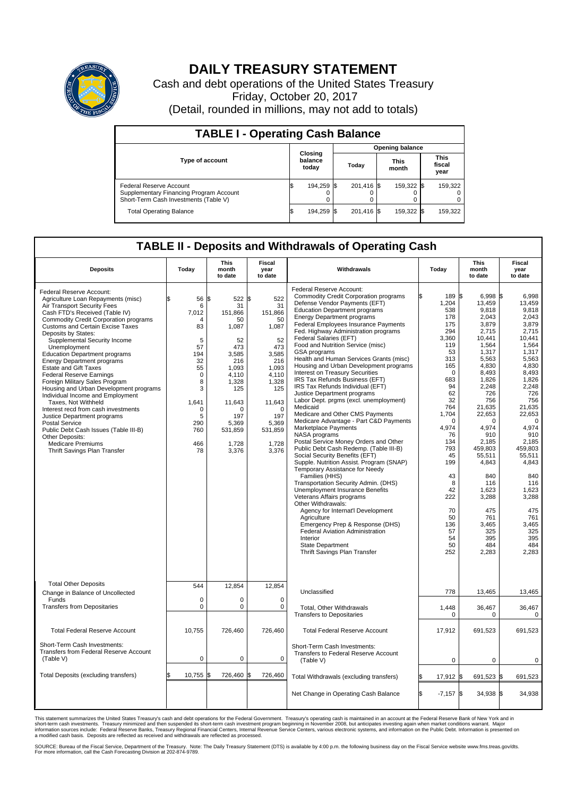

## **DAILY TREASURY STATEMENT**

Cash and debt operations of the United States Treasury Friday, October 20, 2017 (Detail, rounded in millions, may not add to totals)

| <b>TABLE I - Operating Cash Balance</b>                                                                     |     |                             |                        |            |  |                      |  |                               |  |
|-------------------------------------------------------------------------------------------------------------|-----|-----------------------------|------------------------|------------|--|----------------------|--|-------------------------------|--|
|                                                                                                             |     |                             | <b>Opening balance</b> |            |  |                      |  |                               |  |
| <b>Type of account</b>                                                                                      |     | Closing<br>balance<br>today |                        | Today      |  | <b>This</b><br>month |  | <b>This</b><br>fiscal<br>year |  |
| Federal Reserve Account<br>Supplementary Financing Program Account<br>Short-Term Cash Investments (Table V) |     | 194,259 \$                  |                        | 201.416 \$ |  | 159,322 \$           |  | 159,322                       |  |
| <b>Total Operating Balance</b>                                                                              | I\$ | 194,259 \$                  |                        | 201,416 \$ |  | 159,322 \$           |  | 159,322                       |  |

## **TABLE II - Deposits and Withdrawals of Operating Cash**

| <b>Deposits</b>                                                                                                                                                                                                                                                                                                                                                                                                                                                                                                                                                                                                                                                                                                                                                                                          | Today                                                                                                                                                   | This<br>month<br>to date                                                                                                                                                | Fiscal<br>year<br>to date                                                                                                                                             | Withdrawals                                                                                                                                                                                                                                                                                                                                                                                                                                                                                                                                                                                                                                                                                                                                                                                                                                                                                                                                                                                                                                                                                                                                                                                                                                                                                                               | Today                                                                                                                                                                                                                                                          | <b>This</b><br>month<br>to date                                                                                                                                                                                                                                                                                           | Fiscal<br>year<br>to date                                                                                                                                                                                                                                                                                              |
|----------------------------------------------------------------------------------------------------------------------------------------------------------------------------------------------------------------------------------------------------------------------------------------------------------------------------------------------------------------------------------------------------------------------------------------------------------------------------------------------------------------------------------------------------------------------------------------------------------------------------------------------------------------------------------------------------------------------------------------------------------------------------------------------------------|---------------------------------------------------------------------------------------------------------------------------------------------------------|-------------------------------------------------------------------------------------------------------------------------------------------------------------------------|-----------------------------------------------------------------------------------------------------------------------------------------------------------------------|---------------------------------------------------------------------------------------------------------------------------------------------------------------------------------------------------------------------------------------------------------------------------------------------------------------------------------------------------------------------------------------------------------------------------------------------------------------------------------------------------------------------------------------------------------------------------------------------------------------------------------------------------------------------------------------------------------------------------------------------------------------------------------------------------------------------------------------------------------------------------------------------------------------------------------------------------------------------------------------------------------------------------------------------------------------------------------------------------------------------------------------------------------------------------------------------------------------------------------------------------------------------------------------------------------------------------|----------------------------------------------------------------------------------------------------------------------------------------------------------------------------------------------------------------------------------------------------------------|---------------------------------------------------------------------------------------------------------------------------------------------------------------------------------------------------------------------------------------------------------------------------------------------------------------------------|------------------------------------------------------------------------------------------------------------------------------------------------------------------------------------------------------------------------------------------------------------------------------------------------------------------------|
| Federal Reserve Account:<br>Agriculture Loan Repayments (misc)<br>Air Transport Security Fees<br>Cash FTD's Received (Table IV)<br>Commodity Credit Corporation programs<br><b>Customs and Certain Excise Taxes</b><br>Deposits by States:<br>Supplemental Security Income<br>Unemployment<br><b>Education Department programs</b><br><b>Energy Department programs</b><br><b>Estate and Gift Taxes</b><br><b>Federal Reserve Earnings</b><br>Foreign Military Sales Program<br>Housing and Urban Development programs<br>Individual Income and Employment<br>Taxes, Not Withheld<br>Interest recd from cash investments<br>Justice Department programs<br><b>Postal Service</b><br>Public Debt Cash Issues (Table III-B)<br>Other Deposits:<br><b>Medicare Premiums</b><br>Thrift Savings Plan Transfer | 56<br>6<br>7,012<br>$\overline{4}$<br>83<br>5<br>57<br>194<br>32<br>55<br>$\mathbf 0$<br>8<br>3<br>1,641<br>$\mathbf 0$<br>5<br>290<br>760<br>466<br>78 | 522 \$<br>\$<br>31<br>151,866<br>50<br>1,087<br>52<br>473<br>3,585<br>216<br>1,093<br>4,110<br>1,328<br>125<br>11,643<br>O<br>197<br>5,369<br>531,859<br>1,728<br>3,376 | 522<br>31<br>151,866<br>50<br>1,087<br>52<br>473<br>3,585<br>216<br>1,093<br>4,110<br>1,328<br>125<br>11,643<br>$\Omega$<br>197<br>5,369<br>531,859<br>1,728<br>3,376 | Federal Reserve Account:<br><b>Commodity Credit Corporation programs</b><br>Defense Vendor Payments (EFT)<br><b>Education Department programs</b><br><b>Energy Department programs</b><br><b>Federal Employees Insurance Payments</b><br>Fed. Highway Administration programs<br>Federal Salaries (EFT)<br>Food and Nutrition Service (misc)<br>GSA programs<br>Health and Human Services Grants (misc)<br>Housing and Urban Development programs<br>Interest on Treasury Securities<br>IRS Tax Refunds Business (EFT)<br>IRS Tax Refunds Individual (EFT)<br>Justice Department programs<br>Labor Dept. prgms (excl. unemployment)<br>Medicaid<br>Medicare and Other CMS Payments<br>Medicare Advantage - Part C&D Payments<br>Marketplace Payments<br>NASA programs<br>Postal Service Money Orders and Other<br>Public Debt Cash Redemp. (Table III-B)<br>Social Security Benefits (EFT)<br>Supple. Nutrition Assist. Program (SNAP)<br>Temporary Assistance for Needy<br>Families (HHS)<br>Transportation Security Admin. (DHS)<br>Unemployment Insurance Benefits<br>Veterans Affairs programs<br>Other Withdrawals:<br>Agency for Internat'l Development<br>Agriculture<br>Emergency Prep & Response (DHS)<br><b>Federal Aviation Administration</b><br>Interior<br>State Department<br>Thrift Savings Plan Transfer | 189 \$<br>1,204<br>538<br>178<br>175<br>294<br>3.360<br>119<br>53<br>313<br>165<br>$\Omega$<br>683<br>94<br>62<br>32<br>764<br>1,704<br>$\Omega$<br>4,974<br>76<br>134<br>793<br>45<br>199<br>43<br>8<br>42<br>222<br>70<br>50<br>136<br>57<br>54<br>50<br>252 | 6,998 \$<br>13,459<br>9.818<br>2,043<br>3,879<br>2,715<br>10.441<br>1,564<br>1,317<br>5,563<br>4,830<br>8,493<br>1,826<br>2,248<br>726<br>756<br>21,635<br>22,653<br>$\Omega$<br>4,974<br>910<br>2,185<br>459.803<br>55,511<br>4,843<br>840<br>116<br>1,623<br>3,288<br>475<br>761<br>3,465<br>325<br>395<br>484<br>2,283 | 6,998<br>13,459<br>9.818<br>2,043<br>3,879<br>2,715<br>10.441<br>1,564<br>1,317<br>5,563<br>4.830<br>8,493<br>1,826<br>2,248<br>726<br>756<br>21,635<br>22,653<br>$\Omega$<br>4,974<br>910<br>2,185<br>459.803<br>55,511<br>4,843<br>840<br>116<br>1,623<br>3,288<br>475<br>761<br>3,465<br>325<br>395<br>484<br>2,283 |
| <b>Total Other Deposits</b><br>Change in Balance of Uncollected                                                                                                                                                                                                                                                                                                                                                                                                                                                                                                                                                                                                                                                                                                                                          | 544                                                                                                                                                     | 12,854                                                                                                                                                                  | 12,854                                                                                                                                                                | Unclassified                                                                                                                                                                                                                                                                                                                                                                                                                                                                                                                                                                                                                                                                                                                                                                                                                                                                                                                                                                                                                                                                                                                                                                                                                                                                                                              | 778                                                                                                                                                                                                                                                            | 13,465                                                                                                                                                                                                                                                                                                                    | 13,465                                                                                                                                                                                                                                                                                                                 |
| Funds<br><b>Transfers from Depositaries</b>                                                                                                                                                                                                                                                                                                                                                                                                                                                                                                                                                                                                                                                                                                                                                              | $\mathbf 0$<br>$\pmb{0}$                                                                                                                                | $\Omega$<br>0                                                                                                                                                           | $\Omega$<br>$\mathbf 0$                                                                                                                                               | Total, Other Withdrawals<br><b>Transfers to Depositaries</b>                                                                                                                                                                                                                                                                                                                                                                                                                                                                                                                                                                                                                                                                                                                                                                                                                                                                                                                                                                                                                                                                                                                                                                                                                                                              | 1,448<br>$\mathbf 0$                                                                                                                                                                                                                                           | 36,467<br>0                                                                                                                                                                                                                                                                                                               | 36,467<br>$\mathbf 0$                                                                                                                                                                                                                                                                                                  |
| <b>Total Federal Reserve Account</b>                                                                                                                                                                                                                                                                                                                                                                                                                                                                                                                                                                                                                                                                                                                                                                     | 10,755                                                                                                                                                  | 726,460                                                                                                                                                                 | 726,460                                                                                                                                                               | <b>Total Federal Reserve Account</b>                                                                                                                                                                                                                                                                                                                                                                                                                                                                                                                                                                                                                                                                                                                                                                                                                                                                                                                                                                                                                                                                                                                                                                                                                                                                                      | 17,912                                                                                                                                                                                                                                                         | 691,523                                                                                                                                                                                                                                                                                                                   | 691,523                                                                                                                                                                                                                                                                                                                |
| Short-Term Cash Investments:<br>Transfers from Federal Reserve Account<br>(Table V)                                                                                                                                                                                                                                                                                                                                                                                                                                                                                                                                                                                                                                                                                                                      | $\mathbf 0$                                                                                                                                             | 0                                                                                                                                                                       | $\mathbf 0$                                                                                                                                                           | Short-Term Cash Investments:<br>Transfers to Federal Reserve Account<br>(Table V)                                                                                                                                                                                                                                                                                                                                                                                                                                                                                                                                                                                                                                                                                                                                                                                                                                                                                                                                                                                                                                                                                                                                                                                                                                         | 0                                                                                                                                                                                                                                                              | $\Omega$                                                                                                                                                                                                                                                                                                                  | $\Omega$                                                                                                                                                                                                                                                                                                               |
| Total Deposits (excluding transfers)                                                                                                                                                                                                                                                                                                                                                                                                                                                                                                                                                                                                                                                                                                                                                                     | 10,755<br>\$                                                                                                                                            | 726,460<br>ß.                                                                                                                                                           | \$<br>726,460                                                                                                                                                         | Total Withdrawals (excluding transfers)                                                                                                                                                                                                                                                                                                                                                                                                                                                                                                                                                                                                                                                                                                                                                                                                                                                                                                                                                                                                                                                                                                                                                                                                                                                                                   | ß.<br>17,912 \$                                                                                                                                                                                                                                                | 691,523 \$                                                                                                                                                                                                                                                                                                                | 691,523                                                                                                                                                                                                                                                                                                                |
|                                                                                                                                                                                                                                                                                                                                                                                                                                                                                                                                                                                                                                                                                                                                                                                                          |                                                                                                                                                         |                                                                                                                                                                         |                                                                                                                                                                       | Net Change in Operating Cash Balance                                                                                                                                                                                                                                                                                                                                                                                                                                                                                                                                                                                                                                                                                                                                                                                                                                                                                                                                                                                                                                                                                                                                                                                                                                                                                      | \$.<br>$-7,157$ \$                                                                                                                                                                                                                                             | $34,938$ \$                                                                                                                                                                                                                                                                                                               | 34,938                                                                                                                                                                                                                                                                                                                 |

This statement summarizes the United States Treasury's cash and debt operations for the Federal Government. Treasury's operating cash is maintained in an account at the Federal Reserve Bank of New York and in<br>short-term ca

SOURCE: Bureau of the Fiscal Service, Department of the Treasury. Note: The Daily Treasury Statement (DTS) is available by 4:00 p.m. the following business day on the Fiscal Service website www.fms.treas.gov/dts.<br>For more